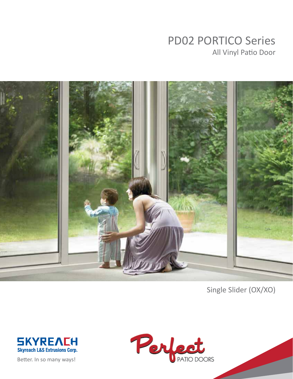# PD02 PORTICO Series All Vinyl Patio Door



Single Slider (OX/XO)



Better. In so many ways!

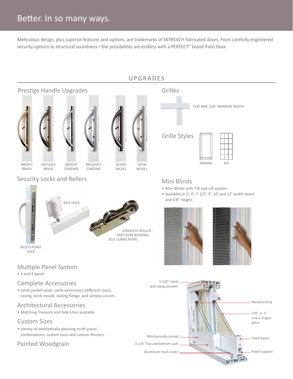### Better. In so many ways.

Meticulous design, plus superior features and options, are trademarks of SKYREACH fabricated doors. From carefully engineered security options to structural soundness—the possibilities are endless with a PERFECT<sup>®</sup> brand Patio Door.

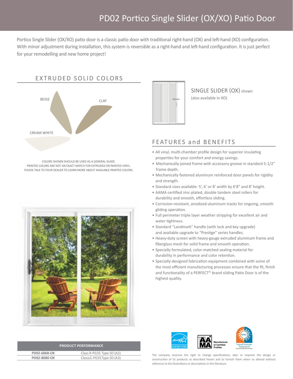## PD02 Portico Single Slider (OX/XO) Patio Door

Portico Single Slider (OX/XO) patio door is a classic patio door with traditional right-hand (OX) and left-hand (XO) configuration. With minor adjustment during installation, this system is reversible as a right-hand and left-hand configuration. It is just perfect for your remodelling and new home project!

#### EXTRUDED SOLID COLORS



Colors shown SHOULD BE USED AS a general guide. Printed colors are not an exact match for extruded or painted vinyl. Please talk to your dealer to learn more about available painted colors.





SINGLE SLIDER (OX) shown (also available in XO)

#### FEATURES and BENEFITS

- All vinyl, multi-chamber profile design for superior insulating properties for your comfort and energy savings.
- Mechanically-joined frame with accessory groove in standard 5-1/2" frame depth.
- Mechanically fastened aluminum reinforced door panels for rigidity and strength.
- Standard sizes available: 5', 6' or 8' width by 6'8" and 8' height.
- AAMA certified zinc-plated, double tandem steel rollers for durability and smooth, effortless sliding.
- Corrosion-resistant, anodized-aluminum tracks for ongoing, smooth gliding operation.
- Full perimeter triple layer weather stripping for excellent air and water tightness.
- Standard "Landmark" handle (with lock and key upgrade) and available upgrade to "Prestige" series handles.
- Heavy-duty screen with heavy-gauge extruded aluminum frame and fiberglass mesh for solid frame and smooth operation.
- Specially formulated, color-matched sealing material for durability in performance and color retention.
- Specially-designed fabrication equipment combined with some of the most efficient manufacturing processes ensure that the fit, finish and functionality of a PERFECT<sup>®</sup> brand sliding Patio Door is of the highest quality.



| <b>PRODUCT PERFORMANCE</b> |                           |
|----------------------------|---------------------------|
| PD02-6068-OX               | Class R-PG35 Type SD (A2) |
| PD02-8080-OX               | ClassLC-PG35Type SD (A3)  |

The company reserves the right to change specifications, alter or improve the design or construction of its products as described herein and to furnish them when so altered without reference to the illustrations or descriptions in this literature.